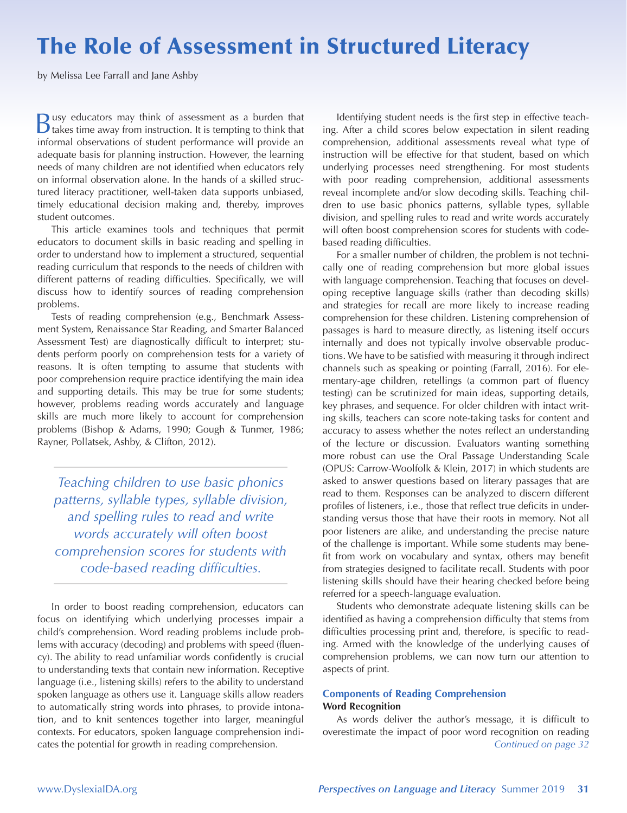# The Role of Assessment in Structured Literacy

by Melissa Lee Farrall and Jane Ashby

Busy educators may think of assessment as a burden that takes time away from instruction. It is tempting to think that informal observations of student performance will provide an adequate basis for planning instruction. However, the learning needs of many children are not identified when educators rely on informal observation alone. In the hands of a skilled structured literacy practitioner, well-taken data supports unbiased, timely educational decision making and, thereby, improves student outcomes.

This article examines tools and techniques that permit educators to document skills in basic reading and spelling in order to understand how to implement a structured, sequential reading curriculum that responds to the needs of children with different patterns of reading difficulties. Specifically, we will discuss how to identify sources of reading comprehension problems.

Tests of reading comprehension (e.g., Benchmark Assessment System, Renaissance Star Reading, and Smarter Balanced Assessment Test) are diagnostically difficult to interpret; students perform poorly on comprehension tests for a variety of reasons. It is often tempting to assume that students with poor comprehension require practice identifying the main idea and supporting details. This may be true for some students; however, problems reading words accurately and language skills are much more likely to account for comprehension problems (Bishop & Adams, 1990; Gough & Tunmer, 1986; Rayner, Pollatsek, Ashby, & Clifton, 2012).

*Teaching children to use basic phonics patterns, syllable types, syllable division, and spelling rules to read and write words accurately will often boost comprehension scores for students with code-based reading difficulties.* 

In order to boost reading comprehension, educators can focus on identifying which underlying processes impair a child's comprehension. Word reading problems include problems with accuracy (decoding) and problems with speed (fluency). The ability to read unfamiliar words confidently is crucial to understanding texts that contain new information. Receptive language (i.e., listening skills) refers to the ability to understand spoken language as others use it. Language skills allow readers to automatically string words into phrases, to provide intonation, and to knit sentences together into larger, meaningful contexts. For educators, spoken language comprehension indicates the potential for growth in reading comprehension.

Identifying student needs is the first step in effective teaching. After a child scores below expectation in silent reading comprehension, additional assessments reveal what type of instruction will be effective for that student, based on which underlying processes need strengthening. For most students with poor reading comprehension, additional assessments reveal incomplete and/or slow decoding skills. Teaching children to use basic phonics patterns, syllable types, syllable division, and spelling rules to read and write words accurately will often boost comprehension scores for students with codebased reading difficulties.

For a smaller number of children, the problem is not technically one of reading comprehension but more global issues with language comprehension. Teaching that focuses on developing receptive language skills (rather than decoding skills) and strategies for recall are more likely to increase reading comprehension for these children. Listening comprehension of passages is hard to measure directly, as listening itself occurs internally and does not typically involve observable productions. We have to be satisfied with measuring it through indirect channels such as speaking or pointing (Farrall, 2016). For elementary-age children, retellings (a common part of fluency testing) can be scrutinized for main ideas, supporting details, key phrases, and sequence. For older children with intact writing skills, teachers can score note-taking tasks for content and accuracy to assess whether the notes reflect an understanding of the lecture or discussion. Evaluators wanting something more robust can use the Oral Passage Understanding Scale (OPUS: Carrow-Woolfolk & Klein, 2017) in which students are asked to answer questions based on literary passages that are read to them. Responses can be analyzed to discern different profiles of listeners, i.e., those that reflect true deficits in understanding versus those that have their roots in memory. Not all poor listeners are alike, and understanding the precise nature of the challenge is important. While some students may benefit from work on vocabulary and syntax, others may benefit from strategies designed to facilitate recall. Students with poor listening skills should have their hearing checked before being referred for a speech-language evaluation.

Students who demonstrate adequate listening skills can be identified as having a comprehension difficulty that stems from difficulties processing print and, therefore, is specific to reading. Armed with the knowledge of the underlying causes of comprehension problems, we can now turn our attention to aspects of print.

## **Components of Reading Comprehension Word Recognition**

As words deliver the author's message, it is difficult to overestimate the impact of poor word recognition on reading *Continued on page 32*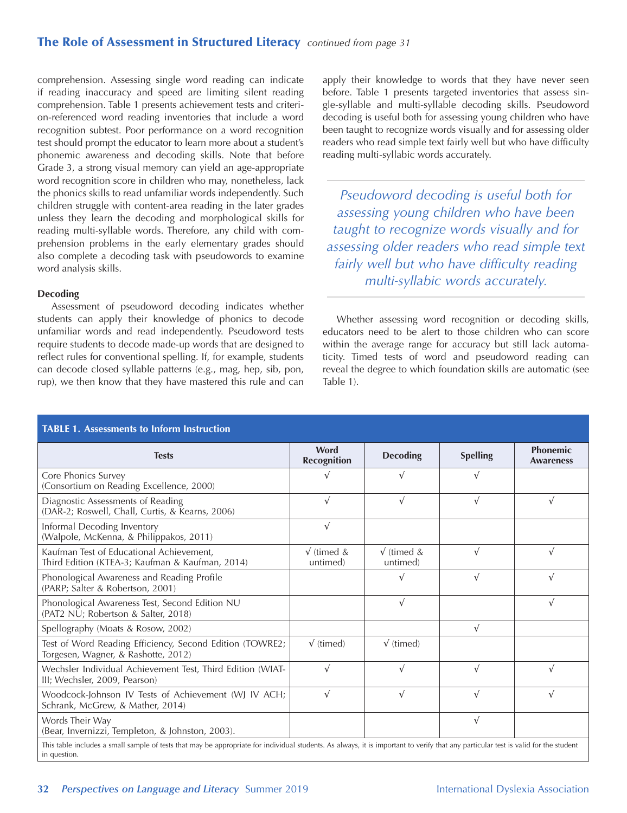# The Role of Assessment in Structured Literacy *continued from page 31*

comprehension. Assessing single word reading can indicate if reading inaccuracy and speed are limiting silent reading comprehension. Table 1 presents achievement tests and criterion-referenced word reading inventories that include a word recognition subtest. Poor performance on a word recognition test should prompt the educator to learn more about a student's phonemic awareness and decoding skills. Note that before Grade 3, a strong visual memory can yield an age-appropriate word recognition score in children who may, nonetheless, lack the phonics skills to read unfamiliar words independently. Such children struggle with content-area reading in the later grades unless they learn the decoding and morphological skills for reading multi-syllable words. Therefore, any child with comprehension problems in the early elementary grades should also complete a decoding task with pseudowords to examine word analysis skills.

#### **Decoding**

Assessment of pseudoword decoding indicates whether students can apply their knowledge of phonics to decode unfamiliar words and read independently. Pseudoword tests require students to decode made-up words that are designed to reflect rules for conventional spelling. If, for example, students can decode closed syllable patterns (e.g., mag, hep, sib, pon, rup), we then know that they have mastered this rule and can

apply their knowledge to words that they have never seen before. Table 1 presents targeted inventories that assess single-syllable and multi-syllable decoding skills. Pseudoword decoding is useful both for assessing young children who have been taught to recognize words visually and for assessing older readers who read simple text fairly well but who have difficulty reading multi-syllabic words accurately.

*Pseudoword decoding is useful both for assessing young children who have been taught to recognize words visually and for assessing older readers who read simple text fairly well but who have difficulty reading multi-syllabic words accurately.* 

Whether assessing word recognition or decoding skills, educators need to be alert to those children who can score within the average range for accuracy but still lack automaticity. Timed tests of word and pseudoword reading can reveal the degree to which foundation skills are automatic (see Table 1).

| <b>TABLE 1. Assessments to Inform Instruction</b>                                                                                                                                                   |                                |                                 |                 |                                     |  |
|-----------------------------------------------------------------------------------------------------------------------------------------------------------------------------------------------------|--------------------------------|---------------------------------|-----------------|-------------------------------------|--|
| <b>Tests</b>                                                                                                                                                                                        | Word<br><b>Recognition</b>     | <b>Decoding</b>                 | <b>Spelling</b> | <b>Phonemic</b><br><b>Awareness</b> |  |
| Core Phonics Survey<br>(Consortium on Reading Excellence, 2000)                                                                                                                                     |                                | $\sqrt{}$                       | V               |                                     |  |
| Diagnostic Assessments of Reading<br>(DAR-2; Roswell, Chall, Curtis, & Kearns, 2006)                                                                                                                | $\sqrt{}$                      | $\sqrt{ }$                      | $\sqrt{}$       | $\sqrt{ }$                          |  |
| Informal Decoding Inventory<br>(Walpole, McKenna, & Philippakos, 2011)                                                                                                                              | $\sqrt{}$                      |                                 |                 |                                     |  |
| Kaufman Test of Educational Achievement,<br>Third Edition (KTEA-3; Kaufman & Kaufman, 2014)                                                                                                         | $\sqrt{}$ (timed &<br>untimed) | $\sqrt{ }$ (timed &<br>untimed) | $\sqrt{ }$      | $\sqrt{ }$                          |  |
| Phonological Awareness and Reading Profile<br>(PARP; Salter & Robertson, 2001)                                                                                                                      |                                | $\sqrt{ }$                      | $\sqrt{ }$      | $\sqrt{ }$                          |  |
| Phonological Awareness Test, Second Edition NU<br>(PAT2 NU; Robertson & Salter, 2018)                                                                                                               |                                | $\sqrt{ }$                      |                 | $\sqrt{ }$                          |  |
| Spellography (Moats & Rosow, 2002)                                                                                                                                                                  |                                |                                 | $\sqrt{}$       |                                     |  |
| Test of Word Reading Efficiency, Second Edition (TOWRE2;<br>Torgesen, Wagner, & Rashotte, 2012)                                                                                                     | $\sqrt{t}$ (timed)             | $\sqrt{t}$ (timed)              |                 |                                     |  |
| Wechsler Individual Achievement Test, Third Edition (WIAT-<br>III: Wechsler, 2009, Pearson)                                                                                                         | $\sqrt{}$                      | $\sqrt{}$                       | $\sqrt{}$       | $\sqrt{ }$                          |  |
| Woodcock-Johnson IV Tests of Achievement (WJ IV ACH;<br>Schrank, McGrew, & Mather, 2014)                                                                                                            | $\sqrt{}$                      | $\sqrt{ }$                      | $\sqrt{ }$      | $\sqrt{ }$                          |  |
| Words Their Way<br>(Bear, Invernizzi, Templeton, & Johnston, 2003).                                                                                                                                 |                                |                                 | $\sqrt{}$       |                                     |  |
| This table includes a small sample of tests that may be appropriate for individual students. As always, it is important to verify that any particular test is valid for the student<br>in question. |                                |                                 |                 |                                     |  |

**32** *Perspectives on Language and Literacy* Summer 2019 International Dyslexia Association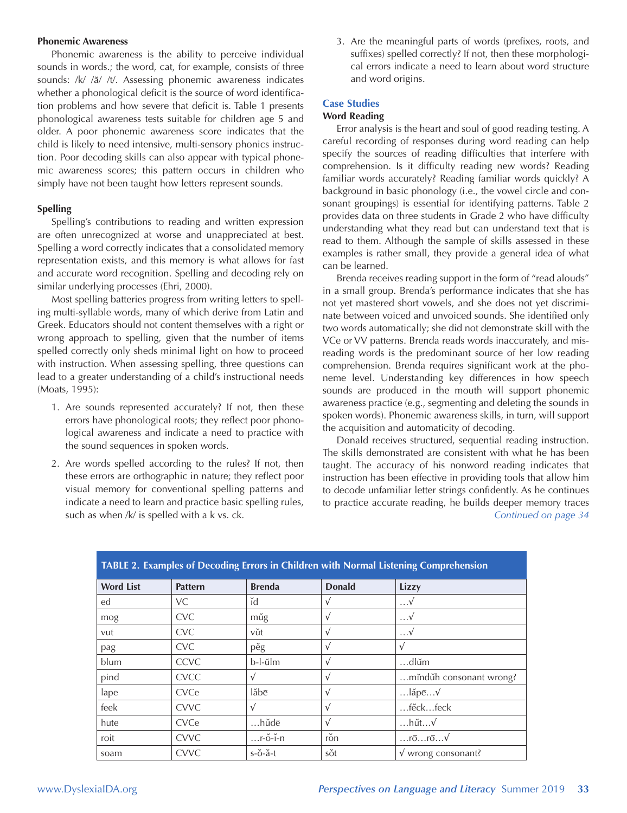#### **Phonemic Awareness**

Phonemic awareness is the ability to perceive individual sounds in words.; the word, cat, for example, consists of three sounds: /k/ /ă/ /t/. Assessing phonemic awareness indicates whether a phonological deficit is the source of word identification problems and how severe that deficit is. Table 1 presents phonological awareness tests suitable for children age 5 and older. A poor phonemic awareness score indicates that the child is likely to need intensive, multi-sensory phonics instruction. Poor decoding skills can also appear with typical phonemic awareness scores; this pattern occurs in children who simply have not been taught how letters represent sounds.

#### **Spelling**

Spelling's contributions to reading and written expression are often unrecognized at worse and unappreciated at best. Spelling a word correctly indicates that a consolidated memory representation exists, and this memory is what allows for fast and accurate word recognition. Spelling and decoding rely on similar underlying processes (Ehri, 2000).

Most spelling batteries progress from writing letters to spelling multi-syllable words, many of which derive from Latin and Greek. Educators should not content themselves with a right or wrong approach to spelling, given that the number of items spelled correctly only sheds minimal light on how to proceed with instruction. When assessing spelling, three questions can lead to a greater understanding of a child's instructional needs (Moats, 1995):

- 1. Are sounds represented accurately? If not, then these errors have phonological roots; they reflect poor phonological awareness and indicate a need to practice with the sound sequences in spoken words.
- 2. Are words spelled according to the rules? If not, then these errors are orthographic in nature; they reflect poor visual memory for conventional spelling patterns and indicate a need to learn and practice basic spelling rules, such as when /k/ is spelled with a k vs. ck.

3. Are the meaningful parts of words (prefixes, roots, and suffixes) spelled correctly? If not, then these morphological errors indicate a need to learn about word structure and word origins.

# **Case Studies**

## **Word Reading**

Error analysis is the heart and soul of good reading testing. A careful recording of responses during word reading can help specify the sources of reading difficulties that interfere with comprehension. Is it difficulty reading new words? Reading familiar words accurately? Reading familiar words quickly? A background in basic phonology (i.e., the vowel circle and consonant groupings) is essential for identifying patterns. Table 2 provides data on three students in Grade 2 who have difficulty understanding what they read but can understand text that is read to them. Although the sample of skills assessed in these examples is rather small, they provide a general idea of what can be learned.

Brenda receives reading support in the form of "read alouds" in a small group. Brenda's performance indicates that she has not yet mastered short vowels, and she does not yet discriminate between voiced and unvoiced sounds. She identified only two words automatically; she did not demonstrate skill with the VCe or VV patterns. Brenda reads words inaccurately, and misreading words is the predominant source of her low reading comprehension. Brenda requires significant work at the phoneme level. Understanding key differences in how speech sounds are produced in the mouth will support phonemic awareness practice (e.g., segmenting and deleting the sounds in spoken words). Phonemic awareness skills, in turn, will support the acquisition and automaticity of decoding.

Donald receives structured, sequential reading instruction. The skills demonstrated are consistent with what he has been taught. The accuracy of his nonword reading indicates that instruction has been effective in providing tools that allow him to decode unfamiliar letter strings confidently. As he continues to practice accurate reading, he builds deeper memory traces *Continued on page 34*

| TABLE 2. Examples of Decouing Errors in Children with Normal Listening Comprenension |                |               |                    |                              |  |  |
|--------------------------------------------------------------------------------------|----------------|---------------|--------------------|------------------------------|--|--|
| <b>Word List</b>                                                                     | <b>Pattern</b> | <b>Brenda</b> | <b>Donald</b>      | Lizzy                        |  |  |
| ed                                                                                   | VC             | ĭd            | $\sqrt{ }$         | $\dots V$                    |  |  |
| mog                                                                                  | <b>CVC</b>     | mŭg           | $\sqrt{ }$         | $\dots V$                    |  |  |
| vut                                                                                  | <b>CVC</b>     | vŭt           | $\sqrt{ }$         | $\dots V$                    |  |  |
| pag                                                                                  | <b>CVC</b>     | pěg           | $\sqrt{ }$         |                              |  |  |
| blum                                                                                 | <b>CCVC</b>    | b-l-ŭlm       | $\sqrt{ }$         | $$ dlŭm                      |  |  |
| pind                                                                                 | <b>CVCC</b>    | v             | $\sqrt{ }$         | minduh consonant wrong?      |  |  |
| lape                                                                                 | CVCe           | lăbē          | $\sqrt{ }$         | $$ lăpē $$                   |  |  |
| feek                                                                                 | <b>CVVC</b>    | $\sqrt{}$     | $\sqrt{ }$         | fěckfeck                     |  |  |
| hute                                                                                 | CVCe           | hŭdē          | $\sqrt{ }$         | …hŭt…√                       |  |  |
| roit                                                                                 | <b>CVVC</b>    | $$ r-ŏ-ĭ-n    | $\check{ }$<br>ron | $$ rō $$ rō $$               |  |  |
| soam                                                                                 | <b>CVVC</b>    | $s$ -ŏ-ă-t    | sŏt                | $\sqrt{\ }$ wrong consonant? |  |  |

# **TABLE 2. Examples of Decoding Errors in Children with Normal Listening Comprehension**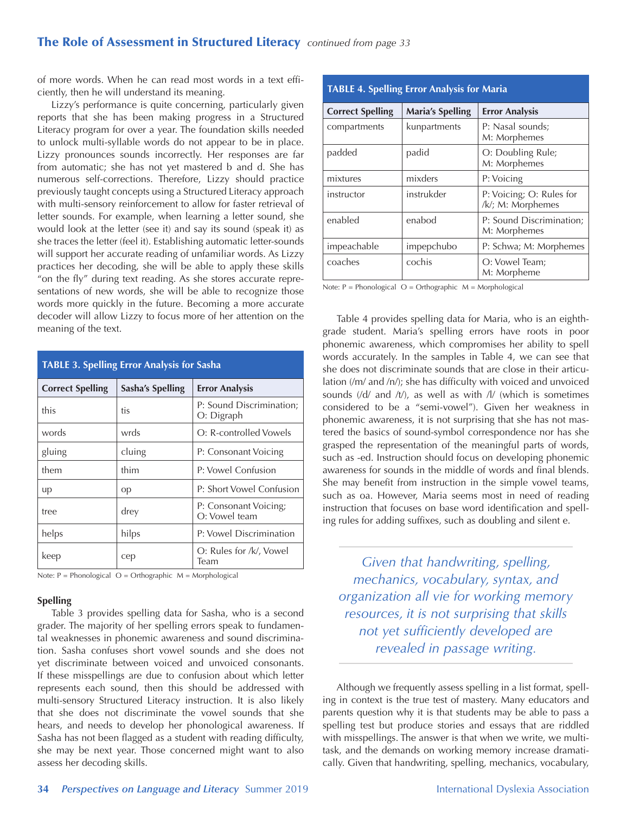of more words. When he can read most words in a text efficiently, then he will understand its meaning.

Lizzy's performance is quite concerning, particularly given reports that she has been making progress in a Structured Literacy program for over a year. The foundation skills needed to unlock multi-syllable words do not appear to be in place. Lizzy pronounces sounds incorrectly. Her responses are far from automatic; she has not yet mastered b and d. She has numerous self-corrections. Therefore, Lizzy should practice previously taught concepts using a Structured Literacy approach with multi-sensory reinforcement to allow for faster retrieval of letter sounds. For example, when learning a letter sound, she would look at the letter (see it) and say its sound (speak it) as she traces the letter (feel it). Establishing automatic letter-sounds will support her accurate reading of unfamiliar words. As Lizzy practices her decoding, she will be able to apply these skills "on the fly" during text reading. As she stores accurate representations of new words, she will be able to recognize those words more quickly in the future. Becoming a more accurate decoder will allow Lizzy to focus more of her attention on the meaning of the text.

| <b>TABLE 3. Spelling Error Analysis for Sasha</b> |                  |                                        |  |  |
|---------------------------------------------------|------------------|----------------------------------------|--|--|
| <b>Correct Spelling</b>                           | Sasha's Spelling | <b>Error Analysis</b>                  |  |  |
| this                                              | tis              | P: Sound Discrimination;<br>O: Digraph |  |  |
| words                                             | wrds             | O: R-controlled Vowels                 |  |  |
| gluing                                            | cluing           | P: Consonant Voicing                   |  |  |
| them                                              | thim             | P: Vowel Confusion                     |  |  |
| up                                                | op               | P: Short Vowel Confusion               |  |  |
| tree                                              | drey             | P: Consonant Voicing;<br>O: Vowel team |  |  |
| helps                                             | hilps            | P: Vowel Discrimination                |  |  |
| keep                                              | cep              | O: Rules for /k/, Vowel<br>Team        |  |  |

Note:  $P = Phonological$   $O = Orthographic$   $M = Morphological$ 

#### **Spelling**

Table 3 provides spelling data for Sasha, who is a second grader. The majority of her spelling errors speak to fundamental weaknesses in phonemic awareness and sound discrimination. Sasha confuses short vowel sounds and she does not yet discriminate between voiced and unvoiced consonants. If these misspellings are due to confusion about which letter represents each sound, then this should be addressed with multi-sensory Structured Literacy instruction. It is also likely that she does not discriminate the vowel sounds that she hears, and needs to develop her phonological awareness. If Sasha has not been flagged as a student with reading difficulty, she may be next year. Those concerned might want to also assess her decoding skills.

| <b>TABLE 4. Spelling Error Analysis for Maria</b> |                         |                                               |  |  |
|---------------------------------------------------|-------------------------|-----------------------------------------------|--|--|
| <b>Correct Spelling</b>                           | <b>Maria's Spelling</b> | <b>Error Analysis</b>                         |  |  |
| compartments                                      | kunpartments            | P: Nasal sounds;<br>M: Morphemes              |  |  |
| padded                                            | padid                   | O: Doubling Rule;<br>M: Morphemes             |  |  |
| mixtures                                          | mixders                 | P: Voicing                                    |  |  |
| instructor                                        | instrukder              | P: Voicing; O: Rules for<br>/k/; M: Morphemes |  |  |
| enabled                                           | enabod                  | P: Sound Discrimination;<br>M: Morphemes      |  |  |
| impeachable                                       | impepchubo              | P: Schwa; M: Morphemes                        |  |  |
| coaches                                           | cochis                  | O: Vowel Team;<br>M: Morpheme                 |  |  |

Note:  $P = Phonological O = Orthographic M = Morphological$ 

Table 4 provides spelling data for Maria, who is an eighthgrade student. Maria's spelling errors have roots in poor phonemic awareness, which compromises her ability to spell words accurately. In the samples in Table 4, we can see that she does not discriminate sounds that are close in their articulation (/m/ and /n/); she has difficulty with voiced and unvoiced sounds (/d/ and /t/), as well as with /l/ (which is sometimes considered to be a "semi-vowel"). Given her weakness in phonemic awareness, it is not surprising that she has not mastered the basics of sound-symbol correspondence nor has she grasped the representation of the meaningful parts of words, such as -ed. Instruction should focus on developing phonemic awareness for sounds in the middle of words and final blends. She may benefit from instruction in the simple vowel teams, such as oa. However, Maria seems most in need of reading instruction that focuses on base word identification and spelling rules for adding suffixes, such as doubling and silent e.

*Given that handwriting, spelling, mechanics, vocabulary, syntax, and organization all vie for working memory resources, it is not surprising that skills not yet sufficiently developed are revealed in passage writing.*

Although we frequently assess spelling in a list format, spelling in context is the true test of mastery. Many educators and parents question why it is that students may be able to pass a spelling test but produce stories and essays that are riddled with misspellings. The answer is that when we write, we multitask, and the demands on working memory increase dramatically. Given that handwriting, spelling, mechanics, vocabulary,